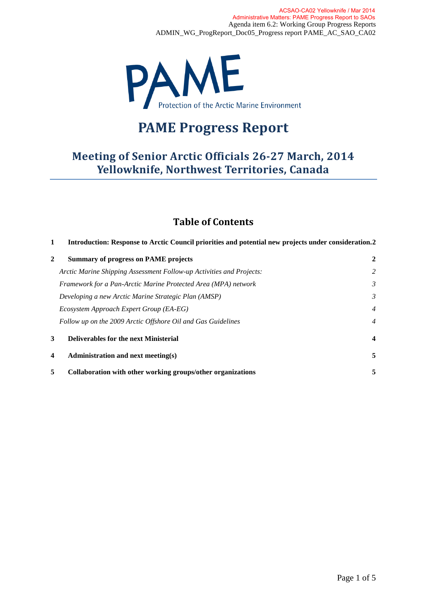

# **PAME Progress Report**

# **Meeting of Senior Arctic Officials 26-27 March, 2014 Yellowknife, Northwest Territories, Canada**

# **Table of Contents**

| Introduction: Response to Arctic Council priorities and potential new projects under consideration.2<br>1 |                                                                      |                         |
|-----------------------------------------------------------------------------------------------------------|----------------------------------------------------------------------|-------------------------|
| $\mathbf{2}$                                                                                              | <b>Summary of progress on PAME projects</b>                          | $\overline{2}$          |
|                                                                                                           | Arctic Marine Shipping Assessment Follow-up Activities and Projects: | 2                       |
|                                                                                                           | Framework for a Pan-Arctic Marine Protected Area (MPA) network       | $\mathfrak{Z}$          |
|                                                                                                           | Developing a new Arctic Marine Strategic Plan (AMSP)                 | 3                       |
|                                                                                                           | Ecosystem Approach Expert Group (EA-EG)                              | $\overline{4}$          |
|                                                                                                           | Follow up on the 2009 Arctic Offshore Oil and Gas Guidelines         | $\overline{4}$          |
| 3                                                                                                         | <b>Deliverables for the next Ministerial</b>                         | $\overline{\mathbf{4}}$ |
| $\overline{\mathbf{4}}$                                                                                   | Administration and next meeting(s)                                   | 5                       |
| 5                                                                                                         | Collaboration with other working groups/other organizations          | 5                       |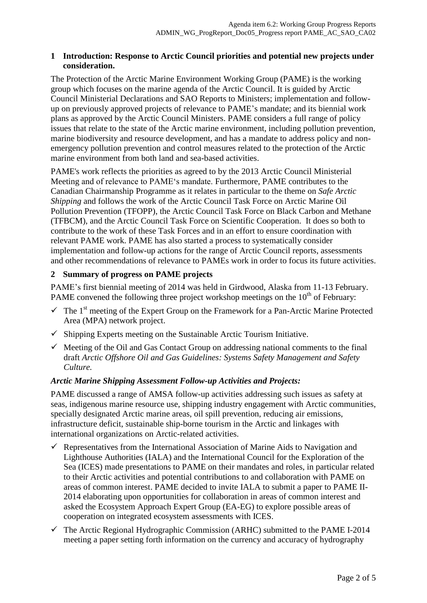#### <span id="page-1-0"></span>**1 Introduction: Response to Arctic Council priorities and potential new projects under consideration.**

The Protection of the Arctic Marine Environment Working Group (PAME) is the working group which focuses on the marine agenda of the Arctic Council. It is guided by Arctic Council Ministerial Declarations and SAO Reports to Ministers; implementation and followup on previously approved projects of relevance to PAME's mandate; and its biennial work plans as approved by the Arctic Council Ministers. PAME considers a full range of policy issues that relate to the state of the Arctic marine environment, including pollution prevention, marine biodiversity and resource development, and has a mandate to address policy and nonemergency pollution prevention and control measures related to the protection of the Arctic marine environment from both land and sea-based activities.

PAME's work reflects the priorities as agreed to by the 2013 Arctic Council Ministerial Meeting and of relevance to PAME's mandate. Furthermore, PAME contributes to the Canadian Chairmanship Programme as it relates in particular to the theme on *Safe Arctic Shipping* and follows the work of the Arctic Council Task Force on Arctic Marine Oil Pollution Prevention (TFOPP), the Arctic Council Task Force on Black Carbon and Methane (TFBCM), and the Arctic Council Task Force on Scientific Cooperation. It does so both to contribute to the work of these Task Forces and in an effort to ensure coordination with relevant PAME work. PAME has also started a process to systematically consider implementation and follow-up actions for the range of Arctic Council reports, assessments and other recommendations of relevance to PAMEs work in order to focus its future activities.

# <span id="page-1-1"></span>**2 Summary of progress on PAME projects**

PAME's first biennial meeting of 2014 was held in Girdwood, Alaska from 11-13 February. PAME convened the following three project workshop meetings on the  $10<sup>th</sup>$  of February:

- $\checkmark$  The 1<sup>st</sup> meeting of the Expert Group on the Framework for a Pan-Arctic Marine Protected Area (MPA) network project.
- $\checkmark$  Shipping Experts meeting on the Sustainable Arctic Tourism Initiative.
- $\checkmark$  Meeting of the Oil and Gas Contact Group on addressing national comments to the final draft *Arctic Offshore Oil and Gas Guidelines: Systems Safety Management and Safety Culture.*

## <span id="page-1-2"></span>*Arctic Marine Shipping Assessment Follow-up Activities and Projects:*

PAME discussed a range of AMSA follow-up activities addressing such issues as safety at seas, indigenous marine resource use, shipping industry engagement with Arctic communities, specially designated Arctic marine areas, oil spill prevention, reducing air emissions, infrastructure deficit, sustainable ship-borne tourism in the Arctic and linkages with international organizations on Arctic-related activities.

- $\checkmark$  Representatives from the International Association of Marine Aids to Navigation and Lighthouse Authorities (IALA) and the International Council for the Exploration of the Sea (ICES) made presentations to PAME on their mandates and roles, in particular related to their Arctic activities and potential contributions to and collaboration with PAME on areas of common interest. PAME decided to invite IALA to submit a paper to PAME II-2014 elaborating upon opportunities for collaboration in areas of common interest and asked the Ecosystem Approach Expert Group (EA-EG) to explore possible areas of cooperation on integrated ecosystem assessments with ICES.
- $\checkmark$  The Arctic Regional Hydrographic Commission (ARHC) submitted to the PAME I-2014 meeting a paper setting forth information on the currency and accuracy of hydrography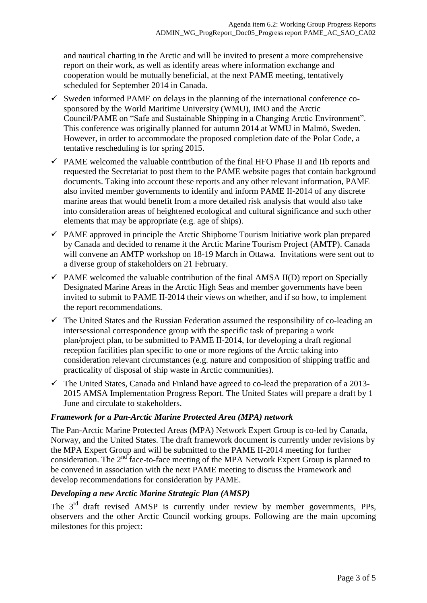and nautical charting in the Arctic and will be invited to present a more comprehensive report on their work, as well as identify areas where information exchange and cooperation would be mutually beneficial, at the next PAME meeting, tentatively scheduled for September 2014 in Canada.

- $\checkmark$  Sweden informed PAME on delays in the planning of the international conference cosponsored by the World Maritime University (WMU), IMO and the Arctic Council/PAME on "Safe and Sustainable Shipping in a Changing Arctic Environment". This conference was originally planned for autumn 2014 at WMU in Malmö, Sweden. However, in order to accommodate the proposed completion date of the Polar Code, a tentative rescheduling is for spring 2015.
- $\checkmark$  PAME welcomed the valuable contribution of the final HFO Phase II and IIb reports and requested the Secretariat to post them to the PAME website pages that contain background documents. Taking into account these reports and any other relevant information, PAME also invited member governments to identify and inform PAME II-2014 of any discrete marine areas that would benefit from a more detailed risk analysis that would also take into consideration areas of heightened ecological and cultural significance and such other elements that may be appropriate (e.g. age of ships).
- $\checkmark$  PAME approved in principle the Arctic Shipborne Tourism Initiative work plan prepared by Canada and decided to rename it the Arctic Marine Tourism Project (AMTP). Canada will convene an AMTP workshop on 18-19 March in Ottawa. Invitations were sent out to a diverse group of stakeholders on 21 February.
- $\checkmark$  PAME welcomed the valuable contribution of the final AMSA II(D) report on Specially Designated Marine Areas in the Arctic High Seas and member governments have been invited to submit to PAME II-2014 their views on whether, and if so how, to implement the report recommendations.
- $\checkmark$  The United States and the Russian Federation assumed the responsibility of co-leading an intersessional correspondence group with the specific task of preparing a work plan/project plan, to be submitted to PAME II-2014, for developing a draft regional reception facilities plan specific to one or more regions of the Arctic taking into consideration relevant circumstances (e.g. nature and composition of shipping traffic and practicality of disposal of ship waste in Arctic communities).
- $\checkmark$  The United States, Canada and Finland have agreed to co-lead the preparation of a 2013-2015 AMSA Implementation Progress Report. The United States will prepare a draft by 1 June and circulate to stakeholders.

# <span id="page-2-0"></span>*Framework for a Pan-Arctic Marine Protected Area (MPA) network*

The Pan-Arctic Marine Protected Areas (MPA) Network Expert Group is co-led by Canada, Norway, and the United States. The draft framework document is currently under revisions by the MPA Expert Group and will be submitted to the PAME II-2014 meeting for further consideration. The 2<sup>nd</sup> face-to-face meeting of the MPA Network Expert Group is planned to be convened in association with the next PAME meeting to discuss the Framework and develop recommendations for consideration by PAME.

# <span id="page-2-1"></span>*Developing a new Arctic Marine Strategic Plan (AMSP)*

The 3<sup>rd</sup> draft revised AMSP is currently under review by member governments, PPs, observers and the other Arctic Council working groups. Following are the main upcoming milestones for this project: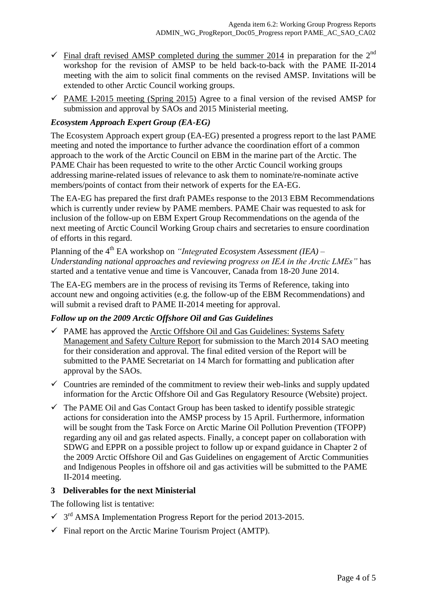- $\checkmark$  Final draft revised AMSP completed during the summer 2014 in preparation for the 2<sup>nd</sup> workshop for the revision of AMSP to be held back-to-back with the PAME II-2014 meeting with the aim to solicit final comments on the revised AMSP. Invitations will be extended to other Arctic Council working groups.
- $\checkmark$  PAME I-2015 meeting (Spring 2015) Agree to a final version of the revised AMSP for submission and approval by SAOs and 2015 Ministerial meeting.

## <span id="page-3-0"></span>*Ecosystem Approach Expert Group (EA-EG)*

The Ecosystem Approach expert group (EA-EG) presented a progress report to the last PAME meeting and noted the importance to further advance the coordination effort of a common approach to the work of the Arctic Council on EBM in the marine part of the Arctic. The PAME Chair has been requested to write to the other Arctic Council working groups addressing marine-related issues of relevance to ask them to nominate/re-nominate active members/points of contact from their network of experts for the EA-EG.

The EA-EG has prepared the first draft PAMEs response to the 2013 EBM Recommendations which is currently under review by PAME members. PAME Chair was requested to ask for inclusion of the follow-up on EBM Expert Group Recommendations on the agenda of the next meeting of Arctic Council Working Group chairs and secretaries to ensure coordination of efforts in this regard.

Planning of the 4<sup>th</sup> EA workshop on *"Integrated Ecosystem Assessment (IEA) – Understanding national approaches and reviewing progress on IEA in the Arctic LMEs"* has started and a tentative venue and time is Vancouver, Canada from 18-20 June 2014.

The EA-EG members are in the process of revising its Terms of Reference, taking into account new and ongoing activities (e.g. the follow-up of the EBM Recommendations) and will submit a revised draft to PAME II-2014 meeting for approval.

## <span id="page-3-1"></span>*Follow up on the 2009 Arctic Offshore Oil and Gas Guidelines*

- $\checkmark$  PAME has approved the Arctic Offshore Oil and Gas Guidelines: Systems Safety Management and Safety Culture Report for submission to the March 2014 SAO meeting for their consideration and approval. The final edited version of the Report will be submitted to the PAME Secretariat on 14 March for formatting and publication after approval by the SAOs.
- $\checkmark$  Countries are reminded of the commitment to review their web-links and supply updated information for the Arctic Offshore Oil and Gas Regulatory Resource (Website) project.
- $\checkmark$  The PAME Oil and Gas Contact Group has been tasked to identify possible strategic actions for consideration into the AMSP process by 15 April. Furthermore, information will be sought from the Task Force on Arctic Marine Oil Pollution Prevention (TFOPP) regarding any oil and gas related aspects. Finally, a concept paper on collaboration with SDWG and EPPR on a possible project to follow up or expand guidance in Chapter 2 of the 2009 Arctic Offshore Oil and Gas Guidelines on engagement of Arctic Communities and Indigenous Peoples in offshore oil and gas activities will be submitted to the PAME II-2014 meeting.

## <span id="page-3-2"></span>**3 Deliverables for the next Ministerial**

The following list is tentative:

- $\checkmark$  3<sup>rd</sup> AMSA Implementation Progress Report for the period 2013-2015.
- $\checkmark$  Final report on the Arctic Marine Tourism Project (AMTP).